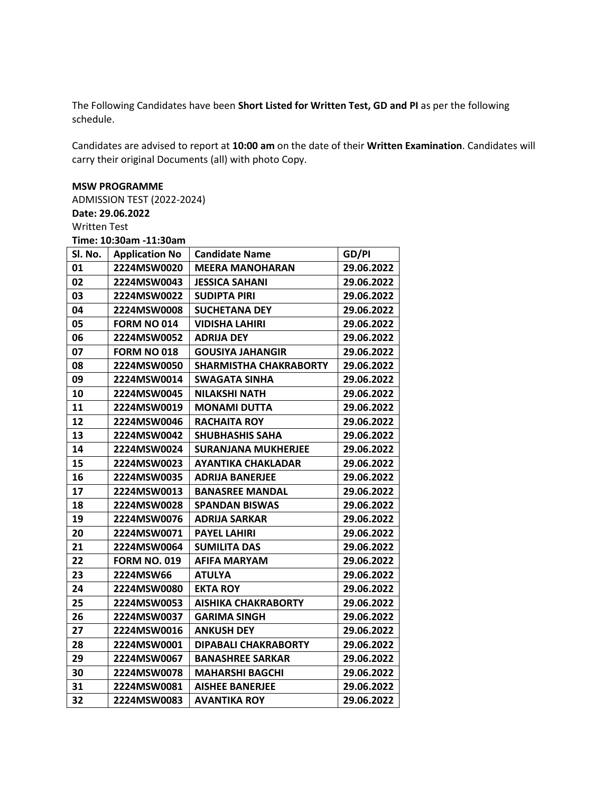The Following Candidates have been **Short Listed for Written Test, GD and PI** as per the following schedule.

Candidates are advised to report at **10:00 am** on the date of their **Written Examination**. Candidates will carry their original Documents (all) with photo Copy.

## **MSW PROGRAMME**

ADMISSION TEST (2022-2024) **Date: 29.06.2022** Written Test **Time: 10:30am -11:30am**

| SI. No. | <b>Application No</b> | <b>Candidate Name</b>         | GD/PI      |  |  |  |
|---------|-----------------------|-------------------------------|------------|--|--|--|
| 01      | 2224MSW0020           | <b>MEERA MANOHARAN</b>        | 29.06.2022 |  |  |  |
| 02      | 2224MSW0043           | <b>JESSICA SAHANI</b>         | 29.06.2022 |  |  |  |
| 03      | 2224MSW0022           | <b>SUDIPTA PIRI</b>           | 29.06.2022 |  |  |  |
| 04      | 2224MSW0008           | <b>SUCHETANA DEY</b>          | 29.06.2022 |  |  |  |
| 05      | <b>FORM NO 014</b>    | <b>VIDISHA LAHIRI</b>         | 29.06.2022 |  |  |  |
| 06      | 2224MSW0052           | ADRIJA DEY                    | 29.06.2022 |  |  |  |
| 07      | <b>FORM NO 018</b>    | <b>GOUSIYA JAHANGIR</b>       | 29.06.2022 |  |  |  |
| 08      | 2224MSW0050           | <b>SHARMISTHA CHAKRABORTY</b> | 29.06.2022 |  |  |  |
| 09      | 2224MSW0014           | <b>SWAGATA SINHA</b>          | 29.06.2022 |  |  |  |
| 10      | 2224MSW0045           | <b>NILAKSHI NATH</b>          | 29.06.2022 |  |  |  |
| 11      | 2224MSW0019           | <b>MONAMI DUTTA</b>           | 29.06.2022 |  |  |  |
| 12      | 2224MSW0046           | <b>RACHAITA ROY</b>           | 29.06.2022 |  |  |  |
| 13      | 2224MSW0042           | <b>SHUBHASHIS SAHA</b>        | 29.06.2022 |  |  |  |
| 14      | 2224MSW0024           | <b>SURANJANA MUKHERJEE</b>    | 29.06.2022 |  |  |  |
| 15      | 2224MSW0023           | <b>AYANTIKA CHAKLADAR</b>     | 29.06.2022 |  |  |  |
| 16      | 2224MSW0035           | <b>ADRIJA BANERJEE</b>        | 29.06.2022 |  |  |  |
| 17      | 2224MSW0013           | <b>BANASREE MANDAL</b>        | 29.06.2022 |  |  |  |
| 18      | 2224MSW0028           | <b>SPANDAN BISWAS</b>         | 29.06.2022 |  |  |  |
| 19      | 2224MSW0076           | <b>ADRIJA SARKAR</b>          | 29.06.2022 |  |  |  |
| 20      | 2224MSW0071           | <b>PAYEL LAHIRI</b>           | 29.06.2022 |  |  |  |
| 21      | 2224MSW0064           | <b>SUMILITA DAS</b>           | 29.06.2022 |  |  |  |
| 22      | <b>FORM NO. 019</b>   | AFIFA MARYAM                  | 29.06.2022 |  |  |  |
| 23      | 2224MSW66             | <b>ATULYA</b>                 | 29.06.2022 |  |  |  |
| 24      | 2224MSW0080           | <b>EKTA ROY</b>               | 29.06.2022 |  |  |  |
| 25      | 2224MSW0053           | <b>AISHIKA CHAKRABORTY</b>    | 29.06.2022 |  |  |  |
| 26      | 2224MSW0037           | <b>GARIMA SINGH</b>           | 29.06.2022 |  |  |  |
| 27      | 2224MSW0016           | <b>ANKUSH DEY</b>             | 29.06.2022 |  |  |  |
| 28      | 2224MSW0001           | <b>DIPABALI CHAKRABORTY</b>   | 29.06.2022 |  |  |  |
| 29      | 2224MSW0067           | <b>BANASHREE SARKAR</b>       | 29.06.2022 |  |  |  |
| 30      | 2224MSW0078           | <b>MAHARSHI BAGCHI</b>        | 29.06.2022 |  |  |  |
| 31      | 2224MSW0081           | <b>AISHEE BANERJEE</b>        | 29.06.2022 |  |  |  |
| 32      | 2224MSW0083           | <b>AVANTIKA ROY</b>           | 29.06.2022 |  |  |  |